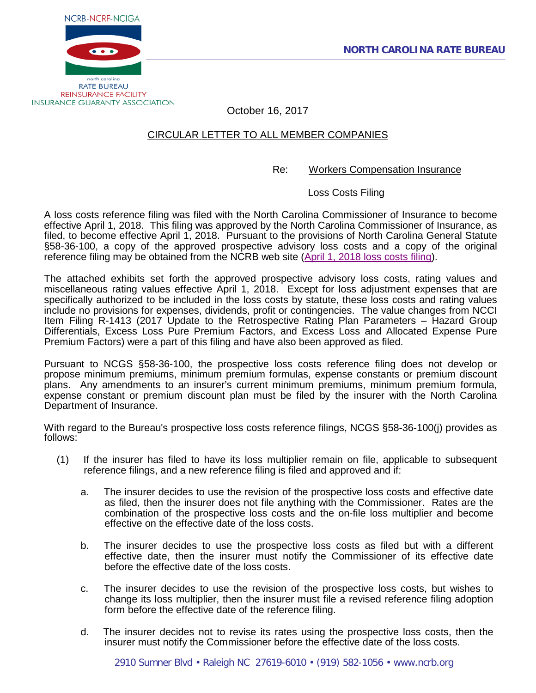

October 16, 2017

# CIRCULAR LETTER TO ALL MEMBER COMPANIES

# Re: Workers Compensation Insurance

Loss Costs Filing

A loss costs reference filing was filed with the North Carolina Commissioner of Insurance to become effective April 1, 2018. This filing was approved by the North Carolina Commissioner of Insurance, as filed, to become effective April 1, 2018. Pursuant to the provisions of North Carolina General Statute §58-36-100, a copy of the approved prospective advisory loss costs and a copy of the original reference filing may be obtained from the NCRB web site (April 1, 2018 [loss costs filing\)](http://www.ncrb.org/ncrb/WorkersCompensation/Carrier/LossCostsandAssignedRiskRates/tabid/124/Default.aspx).

The attached exhibits set forth the approved prospective advisory loss costs, rating values and miscellaneous rating values effective April 1, 2018. Except for loss adjustment expenses that are specifically authorized to be included in the loss costs by statute, these loss costs and rating values include no provisions for expenses, dividends, profit or contingencies. The value changes from NCCI Item Filing R-1413 (2017 Update to the Retrospective Rating Plan Parameters – Hazard Group Differentials, Excess Loss Pure Premium Factors, and Excess Loss and Allocated Expense Pure Premium Factors) were a part of this filing and have also been approved as filed.

Pursuant to NCGS §58-36-100, the prospective loss costs reference filing does not develop or propose minimum premiums, minimum premium formulas, expense constants or premium discount plans. Any amendments to an insurer's current minimum premiums, minimum premium formula, expense constant or premium discount plan must be filed by the insurer with the North Carolina Department of Insurance.

With regard to the Bureau's prospective loss costs reference filings, NCGS §58-36-100(j) provides as follows:

- (1) If the insurer has filed to have its loss multiplier remain on file, applicable to subsequent reference filings, and a new reference filing is filed and approved and if:
	- a. The insurer decides to use the revision of the prospective loss costs and effective date as filed, then the insurer does not file anything with the Commissioner. Rates are the combination of the prospective loss costs and the on-file loss multiplier and become effective on the effective date of the loss costs.
	- b. The insurer decides to use the prospective loss costs as filed but with a different effective date, then the insurer must notify the Commissioner of its effective date before the effective date of the loss costs.
	- c. The insurer decides to use the revision of the prospective loss costs, but wishes to change its loss multiplier, then the insurer must file a revised reference filing adoption form before the effective date of the reference filing.
	- d. The insurer decides not to revise its rates using the prospective loss costs, then the insurer must notify the Commissioner before the effective date of the loss costs.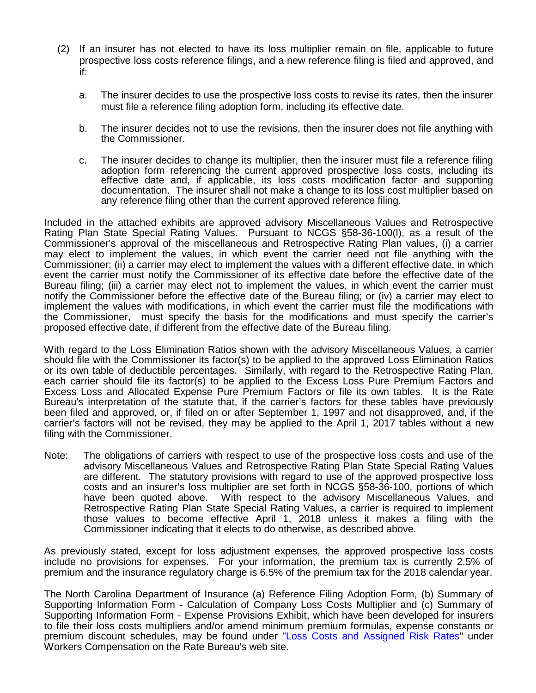- (2) If an insurer has not elected to have its loss multiplier remain on file, applicable to future prospective loss costs reference filings, and a new reference filing is filed and approved, and if:
	- a. The insurer decides to use the prospective loss costs to revise its rates, then the insurer must file a reference filing adoption form, including its effective date.
	- b. The insurer decides not to use the revisions, then the insurer does not file anything with the Commissioner.
	- c. The insurer decides to change its multiplier, then the insurer must file a reference filing adoption form referencing the current approved prospective loss costs, including its effective date and, if applicable, its loss costs modification factor and supporting documentation. The insurer shall not make a change to its loss cost multiplier based on any reference filing other than the current approved reference filing.

Included in the attached exhibits are approved advisory Miscellaneous Values and Retrospective Rating Plan State Special Rating Values. Pursuant to NCGS §58-36-100(l), as a result of the Commissioner's approval of the miscellaneous and Retrospective Rating Plan values, (i) a carrier may elect to implement the values, in which event the carrier need not file anything with the Commissioner; (ii) a carrier may elect to implement the values with a different effective date, in which event the carrier must notify the Commissioner of its effective date before the effective date of the Bureau filing; (iii) a carrier may elect not to implement the values, in which event the carrier must notify the Commissioner before the effective date of the Bureau filing; or (iv) a carrier may elect to implement the values with modifications, in which event the carrier must file the modifications with the Commissioner, must specify the basis for the modifications and must specify the carrier's proposed effective date, if different from the effective date of the Bureau filing.

With regard to the Loss Elimination Ratios shown with the advisory Miscellaneous Values, a carrier should file with the Commissioner its factor(s) to be applied to the approved Loss Elimination Ratios or its own table of deductible percentages. Similarly, with regard to the Retrospective Rating Plan, each carrier should file its factor(s) to be applied to the Excess Loss Pure Premium Factors and Excess Loss and Allocated Expense Pure Premium Factors or file its own tables. It is the Rate Bureau's interpretation of the statute that, if the carrier's factors for these tables have previously been filed and approved, or, if filed on or after September 1, 1997 and not disapproved, and, if the carrier's factors will not be revised, they may be applied to the April 1, 2017 tables without a new filing with the Commissioner.

Note: The obligations of carriers with respect to use of the prospective loss costs and use of the advisory Miscellaneous Values and Retrospective Rating Plan State Special Rating Values are different. The statutory provisions with regard to use of the approved prospective loss costs and an insurer's loss multiplier are set forth in NCGS §58-36-100, portions of which have been quoted above. With respect to the advisory Miscellaneous Values, and Retrospective Rating Plan State Special Rating Values, a carrier is required to implement those values to become effective April 1, 2018 unless it makes a filing with the Commissioner indicating that it elects to do otherwise, as described above.

As previously stated, except for loss adjustment expenses, the approved prospective loss costs include no provisions for expenses. For your information, the premium tax is currently 2.5% of premium and the insurance regulatory charge is 6.5% of the premium tax for the 2018 calendar year.

The North Carolina Department of Insurance (a) Reference Filing Adoption Form, (b) Summary of Supporting Information Form - Calculation of Company Loss Costs Multiplier and (c) Summary of Supporting Information Form - Expense Provisions Exhibit, which have been developed for insurers to file their loss costs multipliers and/or amend minimum premium formulas, expense constants or premium discount schedules, may be found under ["Loss Costs and Assigned Risk Rates"](http://www.ncrb.org/ncrb/WorkersCompensation/Carrier/LossCostsandAssignedRiskRates/tabid/124/Default.aspx) under Workers Compensation on the Rate Bureau's web site.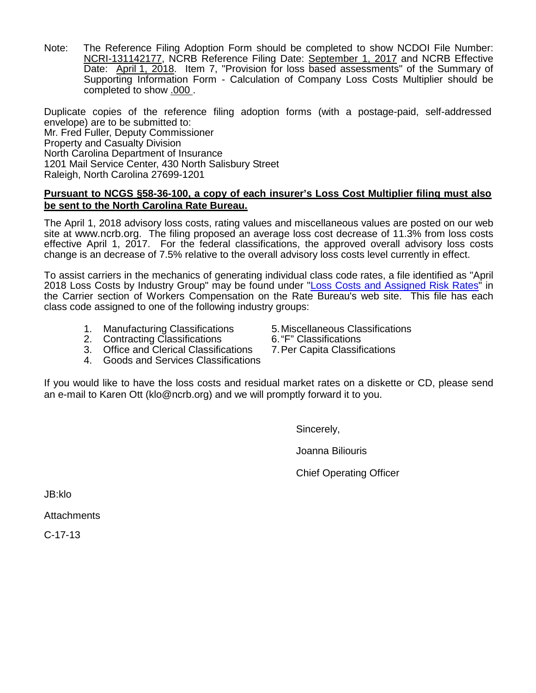Note: The Reference Filing Adoption Form should be completed to show NCDOI File Number: NCRI-131142177, NCRB Reference Filing Date: September 1, 2017 and NCRB Effective Date: April 1, 2018. Item 7, "Provision for loss based assessments" of the Summary of Supporting Information Form - Calculation of Company Loss Costs Multiplier should be completed to show .000 .

Duplicate copies of the reference filing adoption forms (with a postage-paid, self-addressed envelope) are to be submitted to: Mr. Fred Fuller, Deputy Commissioner Property and Casualty Division North Carolina Department of Insurance 1201 Mail Service Center, 430 North Salisbury Street Raleigh, North Carolina 27699-1201

# **Pursuant to NCGS §58-36-100, a copy of each insurer's Loss Cost Multiplier filing must also be sent to the North Carolina Rate Bureau.**

The April 1, 2018 advisory loss costs, rating values and miscellaneous values are posted on our web site at [www.ncrb.org.](http://www.ncrb.org/) The filing proposed an average loss cost decrease of 11.3% from loss costs effective April 1, 2017. For the federal classifications, the approved overall advisory loss costs change is an decrease of 7.5% relative to the overall advisory loss costs level currently in effect.

To assist carriers in the mechanics of generating individual class code rates, a file identified as "April 2018 Loss Costs by Industry Group" may be found under ["Loss Costs and Assigned Risk Rates"](http://www.ncrb.org/ncrb/WorkersCompensation/Carrier/LossCostsandAssignedRiskRates/tabid/124/Default.aspx) in the Carrier section of Workers Compensation on the Rate Bureau's web site. This file has each class code assigned to one of the following industry groups:

- 1. Manufacturing Classifications 5. Miscellaneous Classifications<br>2. Contracting Classifications 6. "F" Classifications
- 
- 2. Contracting Classifications 6. "F" Classifications<br>3. Office and Clerical Classifications 7. Per Capita Classifications 3. Office and Clerical Classifications
- 4. Goods and Services Classifications

If you would like to have the loss costs and residual market rates on a diskette or CD, please send an e-mail to Karen Ott (klo@ncrb.org) and we will promptly forward it to you.

Sincerely,

Joanna Biliouris

Chief Operating Officer

JB:klo

**Attachments** 

C-17-13

- -
	-
-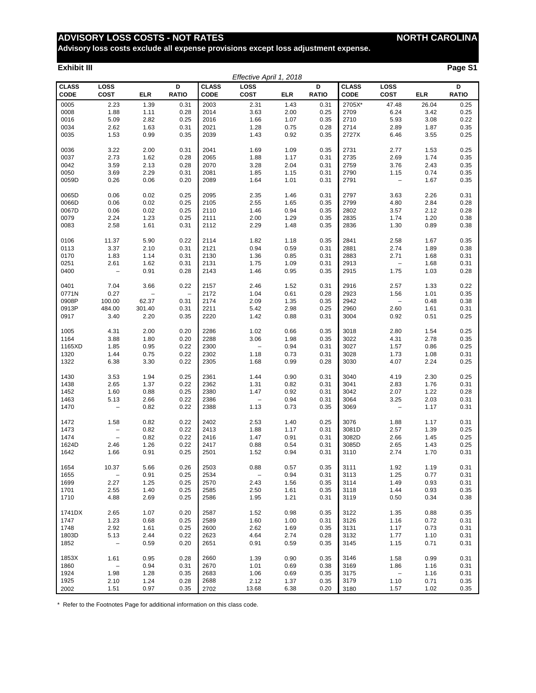# **ADVISORY LOSS COSTS - NOT RATES NORTH CAROLINA**

**Advisory loss costs exclude all expense provisions except loss adjustment expense.**

#### **Exhibit III Page S1**

| Effective April 1, 2018     |                                 |                          |                          |                             |                          |            |                   |                             |                          |            |                   |
|-----------------------------|---------------------------------|--------------------------|--------------------------|-----------------------------|--------------------------|------------|-------------------|-----------------------------|--------------------------|------------|-------------------|
| <b>CLASS</b><br><b>CODE</b> | LOSS<br>COST                    | <b>ELR</b>               | D<br><b>RATIO</b>        | <b>CLASS</b><br><b>CODE</b> | LOSS<br><b>COST</b>      | <b>ELR</b> | D<br><b>RATIO</b> | <b>CLASS</b><br><b>CODE</b> | <b>LOSS</b><br>COST      | <b>ELR</b> | D<br><b>RATIO</b> |
| 0005                        | 2.23                            | 1.39                     | 0.31                     | 2003                        | 2.31                     | 1.43       | 0.31              | 2705X*                      | 47.48                    | 26.04      | 0.25              |
| 0008                        | 1.88                            | 1.11                     | 0.28                     | 2014                        | 3.63                     | 2.00       | 0.25              | 2709                        | 6.24                     | 3.42       | 0.25              |
| 0016                        | 5.09                            | 2.82                     | 0.25                     | 2016                        | 1.66                     | 1.07       | 0.35              | 2710                        | 5.93                     | 3.08       | 0.22              |
| 0034                        | 2.62                            | 1.63                     | 0.31                     | 2021                        | 1.28                     | 0.75       | 0.28              | 2714                        | 2.89                     | 1.87       | 0.35              |
| 0035                        | 1.53                            | 0.99                     | 0.35                     | 2039                        | 1.43                     | 0.92       | 0.35              | 2727X                       | 6.46                     | 3.55       | 0.25              |
|                             |                                 |                          |                          |                             |                          |            |                   |                             |                          |            |                   |
| 0036                        | 3.22                            | 2.00                     | 0.31                     | 2041                        | 1.69                     | 1.09       | 0.35              | 2731                        | 2.77                     | 1.53       | 0.25              |
| 0037                        | 2.73                            | 1.62                     | 0.28                     | 2065                        | 1.88                     | 1.17       | 0.31              | 2735                        | 2.69                     | 1.74       | 0.35              |
| 0042                        | 3.59                            | 2.13                     | 0.28                     | 2070                        | 3.28                     | 2.04       | 0.31              | 2759                        | 3.76                     | 2.43       | 0.35              |
| 0050                        | 3.69                            | 2.29                     | 0.31                     | 2081                        | 1.85                     | 1.15       | 0.31              | 2790                        | 1.15                     | 0.74       | 0.35              |
| 0059D                       | 0.26                            | 0.06                     | 0.20                     | 2089                        | 1.64                     | 1.01       | 0.31              | 2791                        | $\overline{\phantom{m}}$ | 1.67       | 0.35              |
|                             |                                 |                          |                          |                             |                          |            |                   |                             |                          |            |                   |
| 0065D                       | 0.06                            | 0.02                     | 0.25                     | 2095                        | 2.35                     | 1.46       | 0.31              | 2797                        | 3.63                     | 2.26       | 0.31              |
| 0066D                       | 0.06                            | 0.02                     | 0.25                     | 2105                        | 2.55                     | 1.65       | 0.35              | 2799                        | 4.80                     | 2.84       | 0.28              |
| 0067D                       | 0.06                            | 0.02                     | 0.25                     | 2110                        | 1.46                     | 0.94       | 0.35              | 2802                        | 3.57                     | 2.12       | 0.28              |
| 0079                        | 2.24                            | 1.23                     | 0.25                     | 2111                        | 2.00                     | 1.29       | 0.35              | 2835                        | 1.74                     | 1.20       | 0.38              |
| 0083                        | 2.58                            | 1.61                     | 0.31                     | 2112                        | 2.29                     | 1.48       | 0.35              | 2836                        | 1.30                     | 0.89       | 0.38              |
|                             |                                 |                          |                          |                             |                          |            |                   |                             |                          |            |                   |
| 0106                        | 11.37                           | 5.90                     | 0.22                     | 2114                        | 1.82                     | 1.18       | 0.35              | 2841                        | 2.58                     | 1.67       | 0.35              |
| 0113                        | 3.37                            | 2.10                     | 0.31                     | 2121                        | 0.94                     | 0.59       | 0.31              | 2881                        | 2.74                     | 1.89       | 0.38              |
| 0170                        | 1.83                            | 1.14                     | 0.31                     | 2130                        | 1.36                     | 0.85       | 0.31              | 2883                        | 2.71                     | 1.68       | 0.31              |
| 0251                        | 2.61                            | 1.62                     | 0.31                     | 2131                        | 1.75                     | 1.09       | 0.31              | 2913                        | $\qquad \qquad -$        | 1.68       | 0.31              |
| 0400                        | $\qquad \qquad -$               | 0.91                     | 0.28                     | 2143                        | 1.46                     | 0.95       | 0.35              | 2915                        | 1.75                     | 1.03       | 0.28              |
|                             |                                 |                          |                          |                             |                          |            |                   |                             |                          |            |                   |
| 0401                        | 7.04                            | 3.66                     | 0.22                     | 2157                        | 2.46                     | 1.52       | 0.31              | 2916                        | 2.57                     | 1.33       | 0.22              |
| 0771N                       | 0.27                            | $\overline{\phantom{0}}$ | $\overline{\phantom{0}}$ | 2172                        | 1.04                     | 0.61       | 0.28              | 2923                        | 1.56                     | 1.01       | 0.35              |
| 0908P                       | 100.00                          | 62.37                    | 0.31                     | 2174                        | 2.09                     | 1.35       | 0.35              | 2942                        | $\overline{\phantom{m}}$ | 0.48       | 0.38              |
| 0913P                       | 484.00                          | 301.40                   | 0.31                     | 2211                        | 5.42                     | 2.98       | 0.25              | 2960                        | 2.60                     | 1.61       | 0.31              |
| 0917                        | 3.40                            | 2.20                     | 0.35                     | 2220                        | 1.42                     | 0.88       | 0.31              | 3004                        | 0.92                     | 0.51       | 0.25              |
|                             |                                 |                          |                          |                             |                          |            |                   |                             |                          |            |                   |
| 1005                        | 4.31                            | 2.00                     | 0.20                     | 2286                        | 1.02                     | 0.66       | 0.35              | 3018                        | 2.80                     | 1.54       | 0.25              |
| 1164                        | 3.88                            | 1.80                     | 0.20                     | 2288                        | 3.06                     | 1.98       | 0.35              | 3022                        | 4.31                     | 2.78       | 0.35              |
| 1165XD                      | 1.85                            | 0.95                     | 0.22                     | 2300                        | $\overline{\phantom{a}}$ | 0.94       | 0.31              | 3027                        | 1.57                     | 0.86       | 0.25              |
| 1320                        | 1.44                            | 0.75                     | 0.22                     | 2302                        | 1.18                     | 0.73       | 0.31              | 3028                        | 1.73                     | 1.08       | 0.31              |
| 1322                        | 6.38                            | 3.30                     | 0.22                     | 2305                        | 1.68                     | 0.99       | 0.28              | 3030                        | 4.07                     | 2.24       | 0.25              |
|                             |                                 |                          |                          |                             |                          |            |                   |                             |                          |            |                   |
| 1430                        | 3.53                            | 1.94                     | 0.25                     | 2361                        | 1.44                     | 0.90       | 0.31              | 3040                        | 4.19                     | 2.30       | 0.25              |
| 1438                        | 2.65                            | 1.37                     | 0.22                     | 2362                        | 1.31                     | 0.82       | 0.31              | 3041                        | 2.83                     | 1.76       | 0.31              |
| 1452                        | 1.60                            | 0.88                     | 0.25                     | 2380                        | 1.47                     | 0.92       | 0.31              | 3042                        | 2.07                     | 1.22       | 0.28              |
| 1463                        | 5.13                            | 2.66                     | 0.22                     | 2386                        | $\overline{\phantom{a}}$ | 0.94       | 0.31              | 3064                        | 3.25                     | 2.03       | 0.31              |
| 1470                        | $\overline{a}$                  | 0.82                     | 0.22                     | 2388                        | 1.13                     | 0.73       | 0.35              | 3069                        | $\qquad \qquad -$        | 1.17       | 0.31              |
| 1472                        | 1.58                            | 0.82                     | 0.22                     | 2402                        | 2.53                     | 1.40       | 0.25              | 3076                        | 1.88                     | 1.17       | 0.31              |
| 1473                        | $\qquad \qquad -$               | 0.82                     | 0.22                     | 2413                        | 1.88                     | 1.17       | 0.31              | 3081D                       | 2.57                     | 1.39       | 0.25              |
| 1474                        | $\overline{\phantom{a}}$        | 0.82                     | 0.22                     | 2416                        | 1.47                     | 0.91       | 0.31              | 3082D                       | 2.66                     | 1.45       | 0.25              |
| 1624D                       | 2.46                            | 1.26                     | 0.22                     | 2417                        | 0.88                     | 0.54       | 0.31              | 3085D                       | 2.65                     | 1.43       | 0.25              |
| 1642                        | 1.66                            | 0.91                     | 0.25                     | 2501                        | 1.52                     | 0.94       | 0.31              | 3110                        | 2.74                     | 1.70       | 0.31              |
|                             |                                 |                          |                          |                             |                          |            |                   |                             |                          |            |                   |
| 1654                        | 10.37                           | 5.66                     | 0.26                     | 2503                        | 0.88                     | 0.57       | 0.35              | 3111                        | 1.92                     | 1.19       | 0.31              |
| 1655                        | $\hspace{0.1mm}-\hspace{0.1mm}$ | 0.91                     | 0.25                     | 2534                        | $\overline{\phantom{a}}$ | 0.94       | 0.31              | 3113                        | 1.25                     | 0.77       | 0.31              |
| 1699                        | 2.27                            | 1.25                     | 0.25                     | 2570                        | 2.43                     | 1.56       | 0.35              | 3114                        | 1.49                     | 0.93       | 0.31              |
| 1701                        | 2.55                            | 1.40                     | 0.25                     | 2585                        | 2.50                     | 1.61       | 0.35              | 3118                        | 1.44                     | 0.93       | 0.35              |
| 1710                        | 4.88                            | 2.69                     | 0.25                     | 2586                        | 1.95                     | 1.21       | 0.31              | 3119                        | 0.50                     | 0.34       | 0.38              |
|                             |                                 |                          |                          |                             |                          |            |                   |                             |                          |            |                   |
| 1741DX                      | 2.65                            | 1.07                     | 0.20                     | 2587                        | 1.52                     | 0.98       | 0.35              | 3122                        | 1.35                     | 0.88       | 0.35              |
| 1747                        | 1.23                            | 0.68                     | 0.25                     | 2589                        | 1.60                     | 1.00       | 0.31              | 3126                        | 1.16                     | 0.72       | 0.31              |
| 1748                        | 2.92                            | 1.61                     | 0.25                     | 2600                        | 2.62                     | 1.69       | 0.35              | 3131                        | 1.17                     | 0.73       | 0.31              |
| 1803D                       | 5.13                            | 2.44                     | 0.22                     | 2623                        | 4.64                     | 2.74       | 0.28              | 3132                        | 1.77                     | 1.10       | 0.31              |
| 1852                        | $\overline{\phantom{a}}$        | 0.59                     | 0.20                     | 2651                        | 0.91                     | 0.59       | 0.35              | 3145                        | 1.15                     | 0.71       | 0.31              |
|                             |                                 |                          |                          |                             |                          |            |                   |                             |                          |            |                   |
| 1853X                       | 1.61                            | 0.95                     | 0.28                     | 2660                        | 1.39                     | 0.90       | 0.35              | 3146                        | 1.58                     | 0.99       | 0.31              |
| 1860                        | $\sim$ $-$                      | 0.94                     | 0.31                     | 2670                        | 1.01                     | 0.69       | 0.38              | 3169                        | 1.86                     | 1.16       | 0.31              |
| 1924                        | 1.98                            | 1.28                     | 0.35                     | 2683                        | 1.06                     | 0.69       | 0.35              | 3175                        | $\sim$ $-$               | 1.16       | 0.31              |
| 1925                        | 2.10                            | 1.24                     | 0.28                     | 2688                        | 2.12                     | 1.37       | 0.35              | 3179                        | 1.10                     | 0.71       | 0.35              |
| 2002                        | 1.51                            | 0.97                     | 0.35                     | 2702                        | 13.68                    | 6.38       | 0.20              | 3180                        | 1.57                     | 1.02       | 0.35              |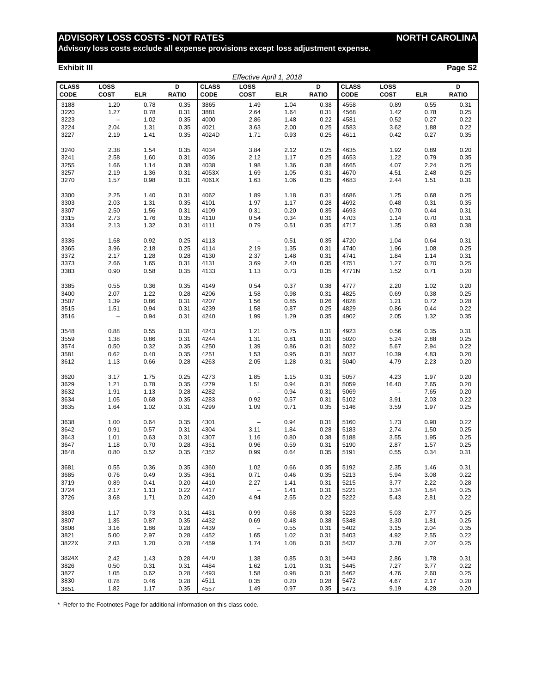# **ADVISORY LOSS COSTS - NOT RATES MORTH CAROLINA**

**Advisory loss costs exclude all expense provisions except loss adjustment expense.**

#### **Exhibit III Page S2**

|                             | Effective April 1, 2018 |            |                   |                      |                          |            |                   |                      |                     |            |                   |
|-----------------------------|-------------------------|------------|-------------------|----------------------|--------------------------|------------|-------------------|----------------------|---------------------|------------|-------------------|
| <b>CLASS</b><br><b>CODE</b> | LOSS<br>COST            | <b>ELR</b> | D<br><b>RATIO</b> | <b>CLASS</b><br>CODE | LOSS<br><b>COST</b>      | <b>ELR</b> | D<br><b>RATIO</b> | <b>CLASS</b><br>CODE | LOSS<br><b>COST</b> | <b>ELR</b> | D<br><b>RATIO</b> |
| 3188                        | 1.20                    | 0.78       | 0.35              | 3865                 | 1.49                     | 1.04       | 0.38              | 4558                 | 0.89                | 0.55       | 0.31              |
| 3220                        | 1.27                    | 0.78       | 0.31              | 3881                 | 2.64                     | 1.64       | 0.31              | 4568                 | 1.42                | 0.78       | 0.25              |
| 3223                        | $\overline{a}$          | 1.02       | 0.35              | 4000                 | 2.86                     | 1.48       | 0.22              | 4581                 | 0.52                | 0.27       | 0.22              |
| 3224                        | 2.04                    | 1.31       | 0.35              | 4021                 | 3.63                     | 2.00       | 0.25              | 4583                 | 3.62                | 1.88       | 0.22              |
| 3227                        | 2.19                    | 1.41       | 0.35              | 4024D                | 1.71                     | 0.93       | 0.25              | 4611                 | 0.42                | 0.27       | 0.35              |
| 3240                        | 2.38                    | 1.54       | 0.35              | 4034                 | 3.84                     | 2.12       | 0.25              | 4635                 | 1.92                | 0.89       | 0.20              |
| 3241                        | 2.58                    | 1.60       | 0.31              | 4036                 | 2.12                     | 1.17       | 0.25              | 4653                 | 1.22                | 0.79       | 0.35              |
| 3255                        | 1.66                    | 1.14       | 0.38              | 4038                 | 1.98                     | 1.36       | 0.38              | 4665                 | 4.07                | 2.24       | 0.25              |
| 3257                        | 2.19                    | 1.36       | 0.31              | 4053X                | 1.69                     | 1.05       | 0.31              | 4670                 | 4.51                | 2.48       | 0.25              |
| 3270                        | 1.57                    | 0.98       | 0.31              | 4061X                | 1.63                     | 1.06       | 0.35              | 4683                 | 2.44                | 1.51       | 0.31              |
| 3300                        | 2.25                    | 1.40       | 0.31              | 4062                 | 1.89                     | 1.18       | 0.31              | 4686                 | 1.25                | 0.68       | 0.25              |
| 3303                        | 2.03                    | 1.31       | 0.35              | 4101                 | 1.97                     | 1.17       | 0.28              | 4692                 | 0.48                | 0.31       | 0.35              |
| 3307                        | 2.50                    | 1.56       | 0.31              | 4109                 | 0.31                     | 0.20       | 0.35              | 4693                 | 0.70                | 0.44       | 0.31              |
| 3315                        | 2.73                    | 1.76       | 0.35              | 4110                 | 0.54                     | 0.34       | 0.31              | 4703                 | 1.14                | 0.70       | 0.31              |
| 3334                        | 2.13                    | 1.32       | 0.31              | 4111                 | 0.79                     | 0.51       | 0.35              | 4717                 | 1.35                | 0.93       | 0.38              |
| 3336                        | 1.68                    | 0.92       | 0.25              | 4113                 | $\qquad \qquad -$        | 0.51       | 0.35              | 4720                 | 1.04                | 0.64       | 0.31              |
| 3365                        | 3.96                    | 2.18       | 0.25              | 4114                 | 2.19                     | 1.35       | 0.31              | 4740                 | 1.96                | 1.08       | 0.25              |
| 3372                        | 2.17                    | 1.28       | 0.28              | 4130                 | 2.37                     | 1.48       | 0.31              | 4741                 | 1.84                | 1.14       | 0.31              |
| 3373                        | 2.66                    | 1.65       | 0.31              | 4131                 | 3.69                     | 2.40       | 0.35              | 4751                 | 1.27                | 0.70       | 0.25              |
| 3383                        | 0.90                    | 0.58       | 0.35              | 4133                 | 1.13                     | 0.73       | 0.35              | 4771N                | 1.52                | 0.71       | 0.20              |
| 3385                        | 0.55                    | 0.36       | 0.35              | 4149                 | 0.54                     | 0.37       | 0.38              | 4777                 | 2.20                | 1.02       | 0.20              |
| 3400                        | 2.07                    | 1.22       | 0.28              | 4206                 | 1.58                     | 0.98       | 0.31              | 4825                 | 0.69                | 0.38       | 0.25              |
| 3507                        | 1.39                    | 0.86       | 0.31              | 4207                 | 1.56                     | 0.85       | 0.26              | 4828                 | 1.21                | 0.72       | 0.28              |
| 3515                        | 1.51                    | 0.94       | 0.31              | 4239                 | 1.58                     | 0.87       | 0.25              | 4829                 | 0.86                | 0.44       | 0.22              |
| 3516                        | $\qquad \qquad -$       | 0.94       | 0.31              | 4240                 | 1.99                     | 1.29       | 0.35              | 4902                 | 2.05                | 1.32       | 0.35              |
|                             |                         |            |                   |                      |                          |            |                   |                      |                     |            |                   |
| 3548                        | 0.88                    | 0.55       | 0.31              | 4243                 | 1.21                     | 0.75       | 0.31              | 4923                 | 0.56                | 0.35       | 0.31              |
| 3559                        | 1.38                    | 0.86       | 0.31              | 4244                 | 1.31                     | 0.81       | 0.31              | 5020                 | 5.24                | 2.88       | 0.25              |
| 3574                        | 0.50                    | 0.32       | 0.35              | 4250                 | 1.39                     | 0.86       | 0.31              | 5022                 | 5.67                | 2.94       | 0.22              |
| 3581                        | 0.62                    | 0.40       | 0.35              | 4251                 | 1.53                     | 0.95       | 0.31              | 5037                 | 10.39               | 4.83       | 0.20              |
| 3612                        | 1.13                    | 0.66       | 0.28              | 4263                 | 2.05                     | 1.28       | 0.31              | 5040                 | 4.79                | 2.23       | 0.20              |
| 3620                        | 3.17                    | 1.75       | 0.25              | 4273                 | 1.85                     | 1.15       | 0.31              | 5057                 | 4.23                | 1.97       | 0.20              |
| 3629                        | 1.21                    | 0.78       | 0.35              | 4279                 | 1.51                     | 0.94       | 0.31              | 5059                 | 16.40               | 7.65       | 0.20              |
| 3632                        | 1.91                    | 1.13       | 0.28              | 4282                 | $\overline{\phantom{0}}$ | 0.94       | 0.31              | 5069                 | $\overline{a}$      | 7.65       | 0.20              |
| 3634                        | 1.05                    | 0.68       | 0.35              | 4283                 | 0.92                     | 0.57       | 0.31              | 5102                 | 3.91                | 2.03       | 0.22              |
| 3635                        | 1.64                    | 1.02       | 0.31              | 4299                 | 1.09                     | 0.71       | 0.35              | 5146                 | 3.59                | 1.97       | 0.25              |
| 3638                        | 1.00                    | 0.64       | 0.35              | 4301                 | $\qquad \qquad -$        | 0.94       | 0.31              | 5160                 | 1.73                | 0.90       | 0.22              |
| 3642                        | 0.91                    | 0.57       | 0.31              | 4304                 | 3.11                     | 1.84       | 0.28              | 5183                 | 2.74                | 1.50       | 0.25              |
| 3643                        | 1.01                    | 0.63       | 0.31              | 4307                 | 1.16                     | 0.80       | 0.38              | 5188                 | 3.55                | 1.95       | 0.25              |
| 3647                        | 1.18                    | 0.70       | 0.28              | 4351                 | 0.96                     | 0.59       | 0.31              | 5190                 | 2.87                | 1.57       | 0.25              |
| 3648                        | 0.80                    | 0.52       | 0.35              | 4352                 | 0.99                     | 0.64       | 0.35              | 5191                 | 0.55                | 0.34       | 0.31              |
| 3681                        | 0.55                    | 0.36       | 0.35              | 4360                 | 1.02                     | 0.66       | 0.35              | 5192                 | 2.35                | 1.46       | 0.31              |
| 3685                        | 0.76                    | 0.49       | 0.35              | 4361                 | 0.71                     | 0.46       | 0.35              | 5213                 | 5.94                | 3.08       | 0.22              |
| 3719                        | 0.89                    | 0.41       | 0.20              | 4410                 | 2.27                     | 1.41       | 0.31              | 5215                 | 3.77                | 2.22       | 0.28              |
| 3724                        | 2.17                    | 1.13       | 0.22              | 4417                 | $\qquad \qquad -$        | 1.41       | 0.31              | 5221                 | 3.34                | 1.84       | 0.25              |
| 3726                        | 3.68                    | 1.71       | 0.20              | 4420                 | 4.94                     | 2.55       | 0.22              | 5222                 | 5.43                | 2.81       | 0.22              |
| 3803                        | 1.17                    | 0.73       | 0.31              | 4431                 | 0.99                     | 0.68       | 0.38              | 5223                 | 5.03                | 2.77       | 0.25              |
| 3807                        | 1.35                    | 0.87       | 0.35              | 4432                 | 0.69                     | 0.48       | 0.38              | 5348                 | 3.30                | 1.81       | 0.25              |
| 3808                        | 3.16                    | 1.86       | 0.28              | 4439                 | $\qquad \qquad -$        | 0.55       | 0.31              | 5402                 | 3.15                | 2.04       | 0.35              |
| 3821                        | 5.00                    | 2.97       | 0.28              | 4452                 | 1.65                     | 1.02       | 0.31              | 5403                 | 4.92                | 2.55       | 0.22              |
| 3822X                       | 2.03                    | 1.20       | 0.28              | 4459                 | 1.74                     | 1.08       | 0.31              | 5437                 | 3.78                | 2.07       | 0.25              |
| 3824X                       | 2.42                    | 1.43       | 0.28              | 4470                 | 1.38                     | 0.85       | 0.31              | 5443                 | 2.86                | 1.78       | 0.31              |
| 3826                        | 0.50                    | 0.31       | 0.31              | 4484                 | 1.62                     | 1.01       | 0.31              | 5445                 | 7.27                | 3.77       | 0.22              |
| 3827                        | 1.05                    | 0.62       | 0.28              | 4493                 | 1.58                     | 0.98       | 0.31              | 5462                 | 4.76                | 2.60       | 0.25              |
| 3830                        | 0.78                    | 0.46       | 0.28              | 4511                 | 0.35                     | 0.20       | 0.28              | 5472                 | 4.67                | 2.17       | 0.20              |
| 3851                        | 1.82                    | 1.17       | 0.35              | 4557                 | 1.49                     | 0.97       | 0.35              | 5473                 | 9.19                | 4.28       | 0.20              |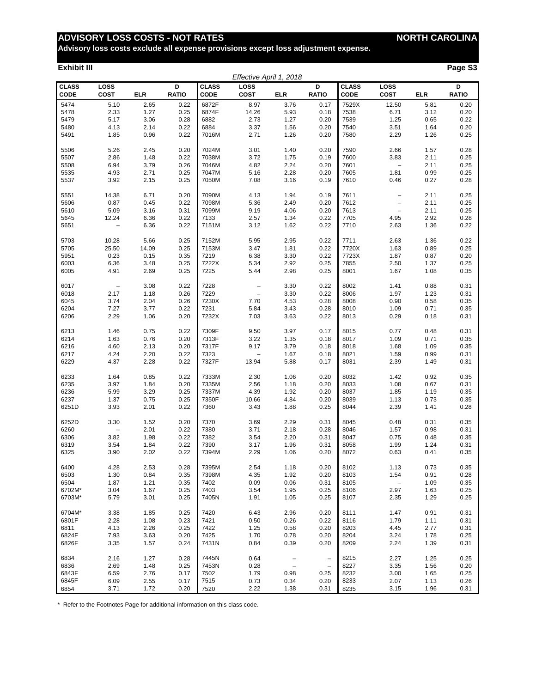# **ADVISORY LOSS COSTS - NOT RATES NORTH CAROLINA**

**Advisory loss costs exclude all expense provisions except loss adjustment expense.**

#### **Exhibit III Page S3**

| Effective April 1, 2018     |                          |            |                   |                             |                                   |                          |                          |                      |                          |            |                   |
|-----------------------------|--------------------------|------------|-------------------|-----------------------------|-----------------------------------|--------------------------|--------------------------|----------------------|--------------------------|------------|-------------------|
| <b>CLASS</b><br><b>CODE</b> | LOSS<br><b>COST</b>      | <b>ELR</b> | D<br><b>RATIO</b> | <b>CLASS</b><br><b>CODE</b> | LOSS<br><b>COST</b>               | <b>ELR</b>               | D<br><b>RATIO</b>        | <b>CLASS</b><br>CODE | LOSS<br><b>COST</b>      | <b>ELR</b> | D<br><b>RATIO</b> |
| 5474                        | 5.10                     | 2.65       | 0.22              | 6872F                       | 8.97                              | 3.76                     | 0.17                     | 7529X                | 12.50                    | 5.81       | 0.20              |
| 5478                        | 2.33                     | 1.27       | 0.25              | 6874F                       | 14.26                             | 5.93                     | 0.18                     | 7538                 | 6.71                     | 3.12       | 0.20              |
| 5479                        | 5.17                     | 3.06       | 0.28              | 6882                        | 2.73                              | 1.27                     | 0.20                     | 7539                 | 1.25                     | 0.65       | 0.22              |
| 5480                        | 4.13                     | 2.14       | 0.22              | 6884                        | 3.37                              | 1.56                     | 0.20                     | 7540                 | 3.51                     | 1.64       | 0.20              |
| 5491                        | 1.85                     | 0.96       | 0.22              | 7016M                       | 2.71                              | 1.26                     | 0.20                     | 7580                 | 2.29                     | 1.26       | 0.25              |
| 5506                        | 5.26                     | 2.45       | 0.20              | 7024M                       | 3.01                              | 1.40                     | 0.20                     | 7590                 | 2.66                     | 1.57       | 0.28              |
| 5507                        | 2.86                     | 1.48       | 0.22              | 7038M                       | 3.72                              | 1.75                     | 0.19                     | 7600                 | 3.83                     | 2.11       | 0.25              |
| 5508                        | 6.94                     | 3.79       | 0.26              | 7046M                       | 4.82                              | 2.24                     | 0.20                     | 7601                 | $\qquad \qquad -$        | 2.11       | 0.25              |
| 5535                        | 4.93                     | 2.71       | 0.25              | 7047M                       | 5.16                              | 2.28                     | 0.20                     | 7605                 | 1.81                     | 0.99       | 0.25              |
| 5537                        | 3.92                     | 2.15       | 0.25              | 7050M                       | 7.08                              | 3.16                     | 0.19                     | 7610                 | 0.46                     | 0.27       | 0.28              |
| 5551                        | 14.38                    | 6.71       | 0.20              | 7090M                       | 4.13                              | 1.94                     | 0.19                     | 7611                 | $\overline{\phantom{0}}$ | 2.11       | 0.25              |
| 5606                        | 0.87                     | 0.45       | 0.22              | 7098M                       | 5.36                              | 2.49                     | 0.20                     | 7612                 | $\qquad \qquad -$        | 2.11       | 0.25              |
| 5610                        | 5.09                     | 3.16       | 0.31              | 7099M                       | 9.19                              | 4.06                     | 0.20                     | 7613                 | $\qquad \qquad -$        | 2.11       | 0.25              |
| 5645                        | 12.24                    | 6.36       | 0.22              | 7133                        | 2.57                              | 1.34                     | 0.22                     | 7705                 | 4.95                     | 2.92       | 0.28              |
| 5651                        | $\qquad \qquad -$        | 6.36       | 0.22              | 7151M                       | 3.12                              | 1.62                     | 0.22                     | 7710                 | 2.63                     | 1.36       | 0.22              |
| 5703                        | 10.28                    | 5.66       | 0.25              | 7152M                       | 5.95                              | 2.95                     | 0.22                     | 7711                 | 2.63                     | 1.36       | 0.22              |
| 5705                        | 25.50                    | 14.09      | 0.25              | 7153M                       | 3.47                              | 1.81                     | 0.22                     | 7720X                | 1.63                     | 0.89       | 0.25              |
| 5951                        | 0.23                     | 0.15       | 0.35              | 7219                        | 6.38                              | 3.30                     | 0.22                     | 7723X                | 1.87                     | 0.87       | 0.20              |
| 6003                        | 6.36                     | 3.48       | 0.25              | 7222X                       | 5.34                              | 2.92                     | 0.25                     | 7855                 | 2.50                     | 1.37       | 0.25              |
| 6005                        | 4.91                     | 2.69       | 0.25              | 7225                        | 5.44                              | 2.98                     | 0.25                     | 8001                 | 1.67                     | 1.08       | 0.35              |
| 6017                        | $\overline{\phantom{m}}$ | 3.08       | 0.22              | 7228                        | $\overline{a}$                    | 3.30                     | 0.22                     | 8002                 | 1.41                     | 0.88       | 0.31              |
| 6018                        | 2.17                     | 1.18       | 0.26              | 7229                        | $\overline{a}$                    | 3.30                     | 0.22                     | 8006                 | 1.97                     | 1.23       | 0.31              |
| 6045                        | 3.74                     | 2.04       | 0.26              | 7230X                       | 7.70                              | 4.53                     | 0.28                     | 8008                 | 0.90                     | 0.58       | 0.35              |
| 6204                        | 7.27                     | 3.77       | 0.22              | 7231                        | 5.84                              | 3.43                     | 0.28                     | 8010                 | 1.09                     | 0.71       | 0.35              |
| 6206                        | 2.29                     | 1.06       | 0.20              | 7232X                       | 7.03                              | 3.63                     | 0.22                     | 8013                 | 0.29                     | 0.18       | 0.31              |
| 6213                        | 1.46                     | 0.75       | 0.22              | 7309F                       | 9.50                              | 3.97                     | 0.17                     | 8015                 | 0.77                     | 0.48       | 0.31              |
| 6214                        | 1.63                     | 0.76       | 0.20              | 7313F                       | 3.22                              | 1.35                     | 0.18                     | 8017                 | 1.09                     | 0.71       | 0.35              |
| 6216                        | 4.60                     | 2.13       | 0.20              | 7317F                       | 9.17                              | 3.79                     | 0.18                     | 8018                 | 1.68                     | 1.09       | 0.35              |
| 6217                        | 4.24                     | 2.20       | 0.22              | 7323                        | $\hspace{0.1in} - \hspace{0.1in}$ | 1.67                     | 0.18                     | 8021                 | 1.59                     | 0.99       | 0.31              |
| 6229                        | 4.37                     | 2.28       | 0.22              | 7327F                       | 13.94                             | 5.88                     | 0.17                     | 8031                 | 2.39                     | 1.49       | 0.31              |
| 6233                        | 1.64                     | 0.85       | 0.22              | 7333M                       | 2.30                              | 1.06                     | 0.20                     | 8032                 | 1.42                     | 0.92       | 0.35              |
| 6235                        | 3.97                     | 1.84       | 0.20              | 7335M                       | 2.56                              | 1.18                     | 0.20                     | 8033                 | 1.08                     | 0.67       | 0.31              |
| 6236                        | 5.99                     | 3.29       | 0.25              | 7337M                       | 4.39                              | 1.92                     | 0.20                     | 8037                 | 1.85                     | 1.19       | 0.35              |
| 6237                        | 1.37                     | 0.75       | 0.25              | 7350F                       | 10.66                             | 4.84                     | 0.20                     | 8039                 | 1.13                     | 0.73       | 0.35              |
| 6251D                       | 3.93                     | 2.01       | 0.22              | 7360                        | 3.43                              | 1.88                     | 0.25                     | 8044                 | 2.39                     | 1.41       | 0.28              |
| 6252D                       | 3.30                     | 1.52       | 0.20              | 7370                        | 3.69                              | 2.29                     | 0.31                     | 8045                 | 0.48                     | 0.31       | 0.35              |
| 6260                        | $\qquad \qquad -$        | 2.01       | 0.22              | 7380                        | 3.71                              | 2.18                     | 0.28                     | 8046                 | 1.57                     | 0.98       | 0.31              |
| 6306                        | 3.82                     | 1.98       | 0.22              | 7382                        | 3.54                              | 2.20                     | 0.31                     | 8047                 | 0.75                     | 0.48       | 0.35              |
| 6319                        | 3.54                     | 1.84       | 0.22              | 7390                        | 3.17                              | 1.96                     | 0.31                     | 8058                 | 1.99                     | 1.24       | 0.31              |
| 6325                        | 3.90                     | 2.02       | 0.22              | 7394M                       | 2.29                              | 1.06                     | 0.20                     | 8072                 | 0.63                     | 0.41       | 0.35              |
| 6400                        | 4.28                     | 2.53       | 0.28              | 7395M                       | 2.54                              | 1.18                     | 0.20                     | 8102                 | 1.13                     | 0.73       | 0.35              |
| 6503                        | 1.30                     | 0.84       | 0.35              | 7398M                       | 4.35                              | 1.92                     | 0.20                     | 8103                 | 1.54                     | 0.91       | 0.28              |
| 6504                        | 1.87                     | 1.21       | 0.35              | 7402                        | 0.09                              | 0.06                     | 0.31                     | 8105                 | $\overline{\phantom{a}}$ | 1.09       | 0.35              |
| 6702M*                      | 3.04                     | 1.67       | 0.25              | 7403                        | 3.54                              | 1.95                     | 0.25                     | 8106                 | 2.97                     | 1.63       | 0.25              |
| 6703M*                      | 5.79                     | 3.01       | 0.25              | 7405N                       | 1.91                              | 1.05                     | 0.25                     | 8107                 | 2.35                     | 1.29       | 0.25              |
| 6704M*                      | 3.38                     | 1.85       | 0.25              | 7420                        | 6.43                              | 2.96                     | 0.20                     | 8111                 | 1.47                     | 0.91       | 0.31              |
| 6801F                       | 2.28                     | 1.08       | 0.23              | 7421                        | 0.50                              | 0.26                     | 0.22                     | 8116                 | 1.79                     | 1.11       | 0.31              |
| 6811                        | 4.13                     | 2.26       | 0.25              | 7422                        | 1.25                              | 0.58                     | 0.20                     | 8203                 | 4.45                     | 2.77       | 0.31              |
| 6824F                       | 7.93                     | 3.63       | 0.20              | 7425                        | 1.70                              | 0.78                     | 0.20                     | 8204                 | 3.24                     | 1.78       | 0.25              |
| 6826F                       | 3.35                     | 1.57       | 0.24              | 7431N                       | 0.84                              | 0.39                     | 0.20                     | 8209                 | 2.24                     | 1.39       | 0.31              |
| 6834                        | 2.16                     | 1.27       | 0.28              | 7445N                       | 0.64                              | $\overline{\phantom{m}}$ | $\qquad \qquad -$        | 8215                 | 2.27                     | 1.25       | 0.25              |
| 6836                        | 2.69                     | 1.48       | 0.25              | 7453N                       | 0.28                              | $\overline{\phantom{a}}$ | $\overline{\phantom{a}}$ | 8227                 | 3.35                     | 1.56       | 0.20              |
| 6843F                       | 6.59                     | 2.76       | 0.17              | 7502                        | 1.79                              | 0.98                     | 0.25                     | 8232                 | 3.00                     | 1.65       | 0.25              |
| 6845F                       | 6.09                     | 2.55       | 0.17              | 7515                        | 0.73                              | 0.34                     | 0.20                     | 8233                 | 2.07                     | 1.13       | 0.26              |
| 6854                        | 3.71                     | 1.72       | 0.20              | 7520                        | 2.22                              | 1.38                     | 0.31                     | 8235                 | 3.15                     | 1.96       | 0.31              |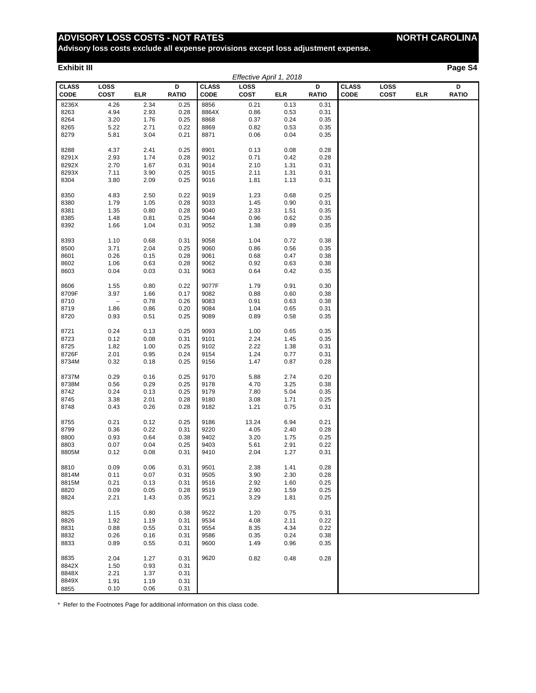# **ADVISORY LOSS COSTS - NOT RATES NORTH CAROLINA**

**Advisory loss costs exclude all expense provisions except loss adjustment expense.**

#### **Exhibit III Page S4**

|                             |                          |      |                   |                      | Effective April 1, 2018 |            |                   |                             |                     |            |                   |
|-----------------------------|--------------------------|------|-------------------|----------------------|-------------------------|------------|-------------------|-----------------------------|---------------------|------------|-------------------|
| <b>CLASS</b><br><b>CODE</b> | LOSS<br><b>COST</b>      | ELR  | D<br><b>RATIO</b> | <b>CLASS</b><br>CODE | LOSS<br><b>COST</b>     | <b>ELR</b> | D<br><b>RATIO</b> | <b>CLASS</b><br><b>CODE</b> | LOSS<br><b>COST</b> | <b>ELR</b> | D<br><b>RATIO</b> |
| 8236X                       | 4.26                     | 2.34 | 0.25              | 8856                 | 0.21                    | 0.13       | 0.31              |                             |                     |            |                   |
| 8263                        | 4.94                     | 2.93 | 0.28              | 8864X                | 0.86                    | 0.53       | 0.31              |                             |                     |            |                   |
| 8264                        | 3.20                     | 1.76 | 0.25              | 8868                 | 0.37                    | 0.24       | 0.35              |                             |                     |            |                   |
| 8265                        | 5.22                     | 2.71 | 0.22              | 8869                 | 0.82                    | 0.53       | 0.35              |                             |                     |            |                   |
| 8279                        | 5.81                     | 3.04 | 0.21              | 8871                 | 0.06                    | 0.04       | 0.35              |                             |                     |            |                   |
|                             |                          |      |                   |                      |                         |            |                   |                             |                     |            |                   |
| 8288                        | 4.37                     | 2.41 | 0.25              | 8901                 | 0.13                    | 0.08       | 0.28              |                             |                     |            |                   |
| 8291X                       | 2.93                     | 1.74 | 0.28              | 9012                 | 0.71                    | 0.42       | 0.28              |                             |                     |            |                   |
| 8292X                       | 2.70                     | 1.67 | 0.31              | 9014                 | 2.10                    | 1.31       | 0.31              |                             |                     |            |                   |
| 8293X                       | 7.11                     | 3.90 | 0.25              | 9015                 | 2.11                    | 1.31       | 0.31              |                             |                     |            |                   |
| 8304                        | 3.80                     | 2.09 | 0.25              | 9016                 | 1.81                    | 1.13       | 0.31              |                             |                     |            |                   |
|                             |                          |      |                   |                      |                         |            |                   |                             |                     |            |                   |
| 8350                        | 4.83                     | 2.50 | 0.22              | 9019                 | 1.23                    | 0.68       | 0.25              |                             |                     |            |                   |
| 8380                        | 1.79                     | 1.05 | 0.28              | 9033                 | 1.45                    | 0.90       | 0.31              |                             |                     |            |                   |
| 8381                        | 1.35                     | 0.80 | 0.28              | 9040                 | 2.33                    | 1.51       | 0.35              |                             |                     |            |                   |
| 8385                        | 1.48                     | 0.81 | 0.25              | 9044                 | 0.96                    | 0.62       | 0.35              |                             |                     |            |                   |
| 8392                        | 1.66                     | 1.04 | 0.31              | 9052                 | 1.38                    | 0.89       | 0.35              |                             |                     |            |                   |
|                             |                          |      |                   |                      |                         |            |                   |                             |                     |            |                   |
| 8393                        | 1.10                     | 0.68 | 0.31              | 9058                 | 1.04                    | 0.72       | 0.38              |                             |                     |            |                   |
| 8500                        | 3.71                     | 2.04 | 0.25              | 9060                 | 0.86                    | 0.56       | 0.35              |                             |                     |            |                   |
| 8601                        | 0.26                     | 0.15 | 0.28              | 9061                 | 0.68                    | 0.47       | 0.38              |                             |                     |            |                   |
| 8602                        | 1.06                     | 0.63 | 0.28              | 9062                 | 0.92                    | 0.63       | 0.38              |                             |                     |            |                   |
| 8603                        | 0.04                     | 0.03 | 0.31              | 9063                 | 0.64                    | 0.42       | 0.35              |                             |                     |            |                   |
|                             |                          |      |                   |                      |                         |            |                   |                             |                     |            |                   |
| 8606                        | 1.55                     | 0.80 | 0.22              | 9077F                | 1.79                    | 0.91       | 0.30              |                             |                     |            |                   |
| 8709F                       | 3.97                     | 1.66 | 0.17              | 9082                 | 0.88                    | 0.60       | 0.38              |                             |                     |            |                   |
| 8710                        | $\overline{\phantom{m}}$ | 0.78 | 0.26              | 9083                 | 0.91                    | 0.63       | 0.38              |                             |                     |            |                   |
| 8719                        | 1.86                     | 0.86 | 0.20              | 9084                 | 1.04                    | 0.65       | 0.31              |                             |                     |            |                   |
| 8720                        | 0.93                     | 0.51 | 0.25              | 9089                 | 0.89                    | 0.58       | 0.35              |                             |                     |            |                   |
|                             |                          |      |                   |                      |                         |            |                   |                             |                     |            |                   |
| 8721                        | 0.24                     | 0.13 | 0.25              | 9093                 | 1.00                    | 0.65       | 0.35              |                             |                     |            |                   |
| 8723                        | 0.12                     | 0.08 | 0.31              | 9101                 | 2.24                    | 1.45       | 0.35              |                             |                     |            |                   |
| 8725                        | 1.82                     | 1.00 | 0.25              | 9102                 | 2.22                    | 1.38       | 0.31              |                             |                     |            |                   |
| 8726F                       | 2.01                     | 0.95 | 0.24              | 9154                 | 1.24                    | 0.77       | 0.31              |                             |                     |            |                   |
| 8734M                       | 0.32                     | 0.18 | 0.25              | 9156                 | 1.47                    | 0.87       | 0.28              |                             |                     |            |                   |
|                             |                          |      |                   |                      |                         |            |                   |                             |                     |            |                   |
| 8737M                       | 0.29                     | 0.16 | 0.25              | 9170                 | 5.88                    | 2.74       | 0.20              |                             |                     |            |                   |
| 8738M                       | 0.56                     | 0.29 | 0.25              | 9178                 | 4.70                    | 3.25       | 0.38              |                             |                     |            |                   |
| 8742                        | 0.24                     | 0.13 | 0.25              | 9179                 | 7.80                    | 5.04       | 0.35              |                             |                     |            |                   |
| 8745                        | 3.38                     | 2.01 | 0.28              | 9180                 | 3.08                    | 1.71       | 0.25              |                             |                     |            |                   |
| 8748                        | 0.43                     | 0.26 | 0.28              | 9182                 | 1.21                    | 0.75       | 0.31              |                             |                     |            |                   |
|                             |                          |      |                   |                      |                         |            |                   |                             |                     |            |                   |
| 8755                        | 0.21                     | 0.12 | 0.25              | 9186                 | 13.24                   | 6.94       | 0.21              |                             |                     |            |                   |
| 8799                        | 0.36                     | 0.22 | 0.31              | 9220                 | 4.05                    | 2.40       | 0.28              |                             |                     |            |                   |
| 8800                        | 0.93                     | 0.64 | 0.38              | 9402                 | 3.20                    | 1.75       | 0.25              |                             |                     |            |                   |
| 8803                        | 0.07                     | 0.04 | 0.25              | 9403                 | 5.61                    | 2.91       | 0.22              |                             |                     |            |                   |
| 8805M                       | 0.12                     | 0.08 | 0.31              | 9410                 | 2.04                    | 1.27       | 0.31              |                             |                     |            |                   |
| 8810                        | 0.09                     | 0.06 | 0.31              | 9501                 | 2.38                    | 1.41       | 0.28              |                             |                     |            |                   |
| 8814M                       | 0.11                     | 0.07 | 0.31              | 9505                 | 3.90                    | 2.30       | 0.28              |                             |                     |            |                   |
| 8815M                       | 0.21                     | 0.13 | 0.31              | 9516                 | 2.92                    | 1.60       | 0.25              |                             |                     |            |                   |
| 8820                        | 0.09                     | 0.05 | 0.28              | 9519                 | 2.90                    | 1.59       | 0.25              |                             |                     |            |                   |
| 8824                        | 2.21                     | 1.43 | 0.35              | 9521                 | 3.29                    | 1.81       | 0.25              |                             |                     |            |                   |
|                             |                          |      |                   |                      |                         |            |                   |                             |                     |            |                   |
| 8825                        | 1.15                     | 0.80 | 0.38              | 9522                 | 1.20                    | 0.75       | 0.31              |                             |                     |            |                   |
| 8826                        | 1.92                     | 1.19 | 0.31              | 9534                 | 4.08                    | 2.11       | 0.22              |                             |                     |            |                   |
| 8831                        | 0.88                     | 0.55 | 0.31              | 9554                 | 8.35                    | 4.34       | 0.22              |                             |                     |            |                   |
| 8832                        | 0.26                     | 0.16 | 0.31              | 9586                 | 0.35                    | 0.24       | 0.38              |                             |                     |            |                   |
| 8833                        | 0.89                     | 0.55 | 0.31              | 9600                 | 1.49                    | 0.96       | 0.35              |                             |                     |            |                   |
|                             |                          |      |                   |                      |                         |            |                   |                             |                     |            |                   |
| 8835                        | 2.04                     | 1.27 | 0.31              | 9620                 | 0.82                    | 0.48       | 0.28              |                             |                     |            |                   |
| 8842X                       | 1.50                     | 0.93 | 0.31              |                      |                         |            |                   |                             |                     |            |                   |
| 8848X                       | 2.21                     | 1.37 | 0.31              |                      |                         |            |                   |                             |                     |            |                   |
| 8849X                       | 1.91                     | 1.19 | 0.31              |                      |                         |            |                   |                             |                     |            |                   |
| 8855                        | 0.10                     | 0.06 | 0.31              |                      |                         |            |                   |                             |                     |            |                   |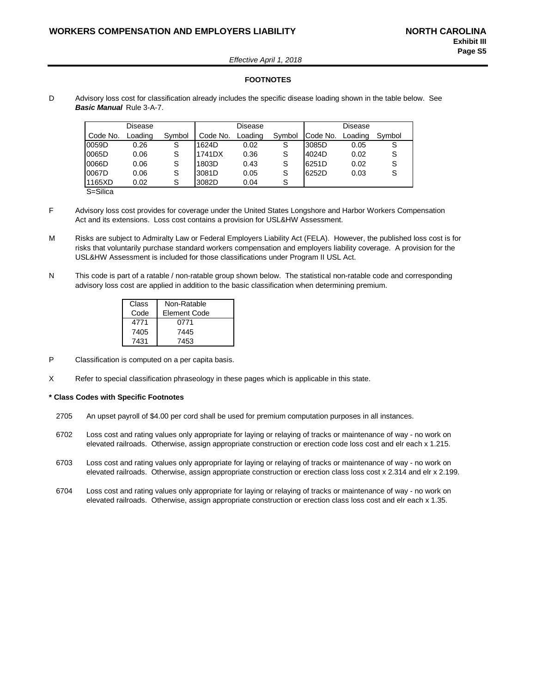*Effective April 1, 2018*

#### **FOOTNOTES**

D Advisory loss cost for classification already includes the specific disease loading shown in the table below. See *Basic Manual* Rule 3-A-7.

|          | Disease |        |          | Disease |        | Disease  |         |        |  |
|----------|---------|--------|----------|---------|--------|----------|---------|--------|--|
| Code No. | Loading | Symbol | Code No. | Loading | Symbol | Code No. | Loading | Symbol |  |
| 0059D    | 0.26    | S      | 1624D    | 0.02    | S      | 3085D    | 0.05    | S      |  |
| 0065D    | 0.06    | S      | 1741DX   | 0.36    | S      | 4024D    | 0.02    | S      |  |
| 0066D    | 0.06    | S      | 1803D    | 0.43    | S      | 6251D    | 0.02    | S      |  |
| 0067D    | 0.06    | S      | 3081D    | 0.05    | S      | 6252D    | 0.03    | S      |  |
| 1165XD   | 0.02    | S      | 3082D    | 0.04    | S      |          |         |        |  |

S=Silica

- F Advisory loss cost provides for coverage under the United States Longshore and Harbor Workers Compensation Act and its extensions. Loss cost contains a provision for USL&HW Assessment.
- M Risks are subject to Admiralty Law or Federal Employers Liability Act (FELA). However, the published loss cost is for risks that voluntarily purchase standard workers compensation and employers liability coverage. A provision for the USL&HW Assessment is included for those classifications under Program II USL Act.
- N This code is part of a ratable / non-ratable group shown below. The statistical non-ratable code and corresponding advisory loss cost are applied in addition to the basic classification when determining premium.

| Class | Non-Ratable  |
|-------|--------------|
| Code  | Element Code |
| 4771  | 0771         |
| 7405  | 7445         |
| 7431  | 7453         |

- P Classification is computed on a per capita basis.
- X Refer to special classification phraseology in these pages which is applicable in this state.

#### **\* Class Codes with Specific Footnotes**

- 2705 An upset payroll of \$4.00 per cord shall be used for premium computation purposes in all instances.
- 6702 Loss cost and rating values only appropriate for laying or relaying of tracks or maintenance of way no work on elevated railroads. Otherwise, assign appropriate construction or erection code loss cost and elr each x 1.215.
- 6703 Loss cost and rating values only appropriate for laying or relaying of tracks or maintenance of way no work on elevated railroads. Otherwise, assign appropriate construction or erection class loss cost x 2.314 and elr x 2.199.
- 6704 Loss cost and rating values only appropriate for laying or relaying of tracks or maintenance of way no work on elevated railroads. Otherwise, assign appropriate construction or erection class loss cost and elr each x 1.35.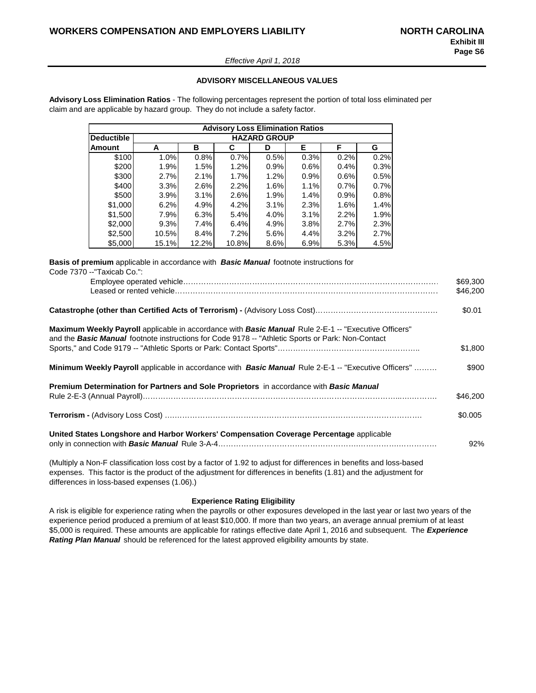#### *Effective April 1, 2018*

#### **ADVISORY MISCELLANEOUS VALUES**

**Advisory Loss Elimination Ratios** - The following percentages represent the portion of total loss eliminated per claim and are applicable by hazard group. They do not include a safety factor.

|                   |       |                     | <b>Advisory Loss Elimination Ratios</b> |      |      |      |      |  |  |  |  |  |
|-------------------|-------|---------------------|-----------------------------------------|------|------|------|------|--|--|--|--|--|
| <b>Deductible</b> |       | <b>HAZARD GROUP</b> |                                         |      |      |      |      |  |  |  |  |  |
| Amount            | A     | в                   | С                                       | D    | Е    | F    | G    |  |  |  |  |  |
| \$100             | 1.0%  | 0.8%                | 0.7%                                    | 0.5% | 0.3% | 0.2% | 0.2% |  |  |  |  |  |
| \$200             | 1.9%  | 1.5%                | 1.2%                                    | 0.9% | 0.6% | 0.4% | 0.3% |  |  |  |  |  |
| \$300             | 2.7%  | 2.1%                | 1.7%                                    | 1.2% | 0.9% | 0.6% | 0.5% |  |  |  |  |  |
| \$400             | 3.3%  | 2.6%                | 2.2%                                    | 1.6% | 1.1% | 0.7% | 0.7% |  |  |  |  |  |
| \$500             | 3.9%  | 3.1%                | 2.6%                                    | 1.9% | 1.4% | 0.9% | 0.8% |  |  |  |  |  |
| \$1,000           | 6.2%  | 4.9%                | 4.2%                                    | 3.1% | 2.3% | 1.6% | 1.4% |  |  |  |  |  |
| \$1,500           | 7.9%  | 6.3%                | 5.4%                                    | 4.0% | 3.1% | 2.2% | 1.9% |  |  |  |  |  |
| \$2,000           | 9.3%  | 7.4%                | 6.4%                                    | 4.9% | 3.8% | 2.7% | 2.3% |  |  |  |  |  |
| \$2,500           | 10.5% | 8.4%                | 7.2%                                    | 5.6% | 4.4% | 3.2% | 2.7% |  |  |  |  |  |
| \$5,000           | 15.1% | 12.2%               | 10.8%                                   | 8.6% | 6.9% | 5.3% | 4.5% |  |  |  |  |  |

**Basis of premium** applicable in accordance with *Basic Manual* footnote instructions for Code 7370 --"Taxicab Co.":

|                                                                                                                                                                                                                                | \$69,300<br>\$46,200 |
|--------------------------------------------------------------------------------------------------------------------------------------------------------------------------------------------------------------------------------|----------------------|
|                                                                                                                                                                                                                                | \$0.01               |
| <b>Maximum Weekly Payroll</b> applicable in accordance with <b>Basic Manual</b> Rule 2-E-1 -- "Executive Officers"<br>and the <b>Basic Manual</b> footnote instructions for Code 9178 -- "Athletic Sports or Park: Non-Contact |                      |
|                                                                                                                                                                                                                                | \$1,800              |
| <b>Minimum Weekly Payroll</b> applicable in accordance with <b>Basic Manual</b> Rule 2-E-1 -- "Executive Officers"                                                                                                             | \$900                |
| <b>Premium Determination for Partners and Sole Proprietors</b> in accordance with <b>Basic Manual</b>                                                                                                                          | \$46,200             |
|                                                                                                                                                                                                                                | \$0.005              |
| United States Longshore and Harbor Workers' Compensation Coverage Percentage applicable                                                                                                                                        | 92%                  |
| (Multiply a Non-F classification loss cost by a factor of 1.92 to adjust for differences in benefits and loss-based                                                                                                            |                      |

expenses. This factor is the product of the adjustment for differences in benefits (1.81) and the adjustment for differences in loss-based expenses (1.06).)

#### **Experience Rating Eligibility**

A risk is eligible for experience rating when the payrolls or other exposures developed in the last year or last two years of the experience period produced a premium of at least \$10,000. If more than two years, an average annual premium of at least \$5,000 is required. These amounts are applicable for ratings effective date April 1, 2016 and subsequent. The *Experience Rating Plan Manual* should be referenced for the latest approved eligibility amounts by state.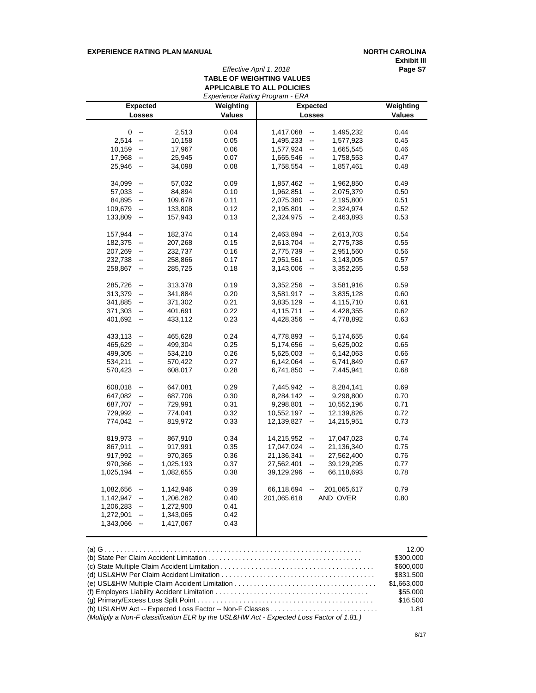#### **EXPERIENCE RATING PLAN MANUAL <b>NORTH CAROLINA**

**Exhibit III**

# *Effective April 1, 2018* **Page S7 TABLE OF WEIGHTING VALUES APPLICABLE TO ALL POLICIES**

|           |                          |           |               | Experience Rating Program - ERA |                               |                 |               |  |  |
|-----------|--------------------------|-----------|---------------|---------------------------------|-------------------------------|-----------------|---------------|--|--|
|           | <b>Expected</b>          |           | Weighting     |                                 |                               | <b>Expected</b> | Weighting     |  |  |
|           | Losses                   |           | <b>Values</b> |                                 | <b>Losses</b>                 |                 | <b>Values</b> |  |  |
|           |                          |           |               |                                 |                               |                 |               |  |  |
| 0         | $\overline{\phantom{a}}$ | 2,513     | 0.04          | 1,417,068                       | $\overline{\phantom{a}}$      | 1,495,232       | 0.44          |  |  |
| 2,514     | $\overline{\phantom{a}}$ | 10,158    | 0.05          | 1,495,233                       | $\overline{\phantom{a}}$      | 1,577,923       | 0.45          |  |  |
| 10,159    | $\overline{\phantom{a}}$ | 17,967    | 0.06          | 1,577,924                       | $\overline{\phantom{a}}$      | 1,665,545       | 0.46          |  |  |
| 17,968    | $\overline{\phantom{a}}$ | 25,945    | 0.07          | 1,665,546                       | $\overline{\phantom{a}}$      | 1,758,553       | 0.47          |  |  |
| 25,946    | $\overline{\phantom{a}}$ | 34,098    | 0.08          | 1,758,554                       | $\overline{\phantom{a}}$      | 1,857,461       | 0.48          |  |  |
|           |                          |           |               |                                 |                               |                 |               |  |  |
| 34,099    | $\overline{\phantom{a}}$ | 57,032    | 0.09          | 1,857,462                       | $\overline{\phantom{a}}$      | 1,962,850       | 0.49          |  |  |
| 57,033    | $\overline{\phantom{a}}$ | 84,894    | 0.10          | 1,962,851                       | --                            | 2,075,379       | 0.50          |  |  |
| 84,895    | --                       | 109,678   | 0.11          | 2,075,380                       | --                            | 2,195,800       | 0.51          |  |  |
| 109,679   | $\overline{\phantom{a}}$ | 133,808   | 0.12          | 2,195,801                       | $\overline{\phantom{a}}$      | 2,324,974       | 0.52          |  |  |
| 133,809   | $\overline{\phantom{a}}$ | 157,943   | 0.13          | 2,324,975                       | $\frac{1}{2}$                 | 2,463,893       | 0.53          |  |  |
|           |                          |           |               |                                 |                               |                 |               |  |  |
| 157,944   | ۰.                       | 182,374   | 0.14          | 2,463,894                       | --                            | 2,613,703       | 0.54          |  |  |
| 182,375   | $\overline{\phantom{a}}$ | 207,268   | 0.15          | 2,613,704                       | $\qquad \qquad \blacksquare$  | 2,775,738       | 0.55          |  |  |
| 207,269   | $\overline{\phantom{a}}$ | 232,737   | 0.16          | 2,775,739                       | --                            | 2,951,560       | 0.56          |  |  |
| 232,738   | $\overline{\phantom{a}}$ | 258,866   | 0.17          | 2,951,561                       | $\overline{\phantom{a}}$      | 3,143,005       | 0.57          |  |  |
| 258,867   | $\overline{\phantom{a}}$ | 285,725   | 0.18          | 3,143,006                       | $\overline{\phantom{a}}$      | 3,352,255       | 0.58          |  |  |
|           |                          |           |               |                                 |                               |                 |               |  |  |
| 285,726   | $\overline{\phantom{a}}$ | 313,378   | 0.19          | 3,352,256                       | --                            | 3,581,916       | 0.59          |  |  |
| 313,379   | --                       | 341,884   | 0.20          | 3,581,917                       | --                            | 3,835,128       | 0.60          |  |  |
| 341,885   | $\overline{\phantom{a}}$ | 371,302   | 0.21          | 3,835,129                       | $\overline{\phantom{a}}$      | 4,115,710       | 0.61          |  |  |
| 371,303   | --                       | 401,691   | 0.22          | 4,115,711                       | --                            | 4,428,355       | 0.62          |  |  |
| 401,692   | $\overline{\phantom{a}}$ | 433,112   | 0.23          | 4,428,356                       | $\frac{1}{2}$                 | 4,778,892       | 0.63          |  |  |
|           |                          |           |               |                                 |                               |                 |               |  |  |
| 433,113   | $\overline{\phantom{a}}$ | 465,628   | 0.24          | 4,778,893                       | --                            | 5,174,655       | 0.64          |  |  |
| 465,629   | $\overline{\phantom{a}}$ | 499,304   | 0.25          | 5,174,656                       | $\overline{\phantom{a}}$      | 5,625,002       | 0.65          |  |  |
| 499,305   | $\overline{\phantom{a}}$ | 534,210   | 0.26          | 5,625,003                       | --                            | 6,142,063       | 0.66          |  |  |
| 534,211   | $\overline{\phantom{a}}$ | 570,422   | 0.27          | 6,142,064                       | $\overline{\phantom{a}}$      | 6,741,849       | 0.67          |  |  |
| 570,423   | $\overline{\phantom{a}}$ | 608,017   | 0.28          | 6,741,850                       | $\qquad \qquad \blacksquare$  | 7,445,941       | 0.68          |  |  |
|           |                          |           |               |                                 |                               |                 |               |  |  |
| 608,018   | --                       | 647,081   | 0.29          | 7,445,942                       | --                            | 8,284,141       | 0.69          |  |  |
| 647,082   | $\overline{\phantom{a}}$ | 687,706   | 0.30          | 8,284,142                       | --                            | 9,298,800       | 0.70          |  |  |
| 687,707   | $\overline{\phantom{a}}$ | 729,991   | 0.31          | 9,298,801                       | $\overline{\phantom{a}}$      | 10,552,196      | 0.71          |  |  |
| 729,992   | $\overline{\phantom{a}}$ | 774,041   | 0.32          | 10,552,197                      | $\overline{\phantom{a}}$      | 12,139,826      | 0.72          |  |  |
| 774,042   | $\overline{\phantom{a}}$ | 819,972   | 0.33          | 12,139,827                      | $\overline{\phantom{a}}$      | 14,215,951      | 0.73          |  |  |
|           |                          |           |               |                                 |                               |                 |               |  |  |
| 819,973   | $\overline{\phantom{a}}$ | 867,910   | 0.34          | 14,215,952                      | $\overline{\phantom{a}}$      | 17,047,023      | 0.74          |  |  |
| 867,911   | $\overline{\phantom{a}}$ | 917,991   | 0.35          | 17,047,024                      | $\overline{\phantom{a}}$      | 21,136,340      | 0.75          |  |  |
| 917,992   | $\overline{\phantom{a}}$ | 970,365   | 0.36          | 21,136,341                      | $\qquad \qquad \qquad \qquad$ | 27,562,400      | 0.76          |  |  |
| 970,366   | $\overline{\phantom{a}}$ | 1,025,193 | 0.37          | 27,562,401                      | $\overline{\phantom{a}}$      | 39,129,295      | 0.77          |  |  |
| 1,025,194 | $\overline{\phantom{a}}$ | 1,082,655 | 0.38          | 39,129,296                      | $\overline{\phantom{a}}$      | 66,118,693      | 0.78          |  |  |
|           |                          |           |               |                                 |                               |                 |               |  |  |
| 1,082,656 | --                       | 1,142,946 | 0.39          | 66,118,694                      | -−                            | 201,065,617     | 0.79          |  |  |
| 1,142,947 | $\overline{\phantom{a}}$ | 1,206,282 | 0.40          | 201,065,618                     |                               | AND OVER        | 0.80          |  |  |
| 1,206,283 | ۰.                       | 1,272,900 | 0.41          |                                 |                               |                 |               |  |  |
| 1,272,901 | $\overline{\phantom{a}}$ | 1,343,065 | 0.42          |                                 |                               |                 |               |  |  |
| 1,343,066 | $\overline{\phantom{a}}$ | 1,417,067 | 0.43          |                                 |                               |                 |               |  |  |
|           |                          |           |               |                                 |                               |                 |               |  |  |

|                                                                                         | 12.00       |
|-----------------------------------------------------------------------------------------|-------------|
|                                                                                         | \$300,000   |
|                                                                                         | \$600,000   |
|                                                                                         | \$831.500   |
|                                                                                         | \$1.663.000 |
|                                                                                         | \$55,000    |
|                                                                                         | \$16,500    |
|                                                                                         | 1.81        |
| (Multiply a Non-F classification ELR by the USL&HW Act - Expected Loss Factor of 1.81.) |             |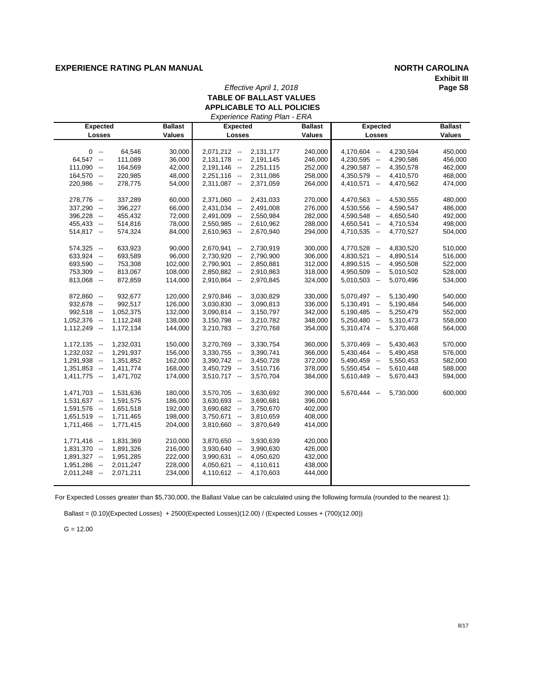### **EXPERIENCE RATING PLAN MANUAL** *NORTH CAROLINA*

# **Exhibit III**

#### *Effective April 1, 2018* **TABLE OF BALLAST VALUES APPLICABLE TO ALL POLICIES** *Experience Rating Plan - ERA*

| <b>Expected</b> |           | <b>Ballast</b> | Experience Raility Flatt - ERA<br><b>Expected</b> |               | <b>Ballast</b><br><b>Expected</b> |                                 |  |  |
|-----------------|-----------|----------------|---------------------------------------------------|---------------|-----------------------------------|---------------------------------|--|--|
| Losses          |           | <b>Values</b>  | Losses                                            | <b>Values</b> | Losses                            | <b>Ballast</b><br><b>Values</b> |  |  |
|                 |           |                |                                                   |               |                                   |                                 |  |  |
| $0 -$           | 64,546    | 30,000         | $2,071,212 - -$<br>2,131,177                      | 240,000       | 4,170,604 --                      | 4,230,594<br>450,000            |  |  |
| $64,547 -$      | 111,089   | 36,000         | $2,131,178 -$<br>2,191,145                        | 246,000       | $4,230,595 -$                     | 4,290,586<br>456,000            |  |  |
| $111,090 -$     | 164,569   | 42,000         | $2,191,146 -$<br>2,251,115                        | 252,000       | 4,290,587 --                      | 4,350,578<br>462,000            |  |  |
| 164,570 --      | 220,985   | 48,000         | $2,251,116 -$<br>2,311,086                        | 258,000       | 4,350,579 --                      | 468,000<br>4,410,570            |  |  |
| 220,986 --      |           | 54,000         | $2,311,087 -$                                     |               | $4,410,571 -$                     | 474,000                         |  |  |
|                 | 278,775   |                | 2,371,059                                         | 264,000       |                                   | 4,470,562                       |  |  |
| 278,776 --      | 337,289   | 60,000         | 2,371,060 --<br>2,431,033                         | 270,000       | 4,470,563 --                      | 4,530,555<br>480,000            |  |  |
| $337,290 -$     | 396,227   | 66,000         | $2,431,034 -$<br>2,491,008                        | 276,000       | 4,530,556 --                      | 4,590,547<br>486,000            |  |  |
| 396,228 --      | 455,432   | 72,000         | 2,491,009 --<br>2,550,984                         | 282,000       | 4,590,548 --                      | 4,650,540<br>492,000            |  |  |
| 455,433 --      | 514,816   | 78,000         | 2,550,985 --<br>2,610,962                         | 288,000       | $4,650,541 -$                     | 4,710,534<br>498,000            |  |  |
| $514,817 -$     | 574,324   | 84,000         | $2,610,963 -$<br>2,670,940                        | 294,000       | 4,710,535 --                      | 4,770,527<br>504,000            |  |  |
|                 |           |                |                                                   |               |                                   |                                 |  |  |
| $574,325 -$     | 633,923   | 90,000         | $2,670,941 -$<br>2,730,919                        | 300,000       | 4,770,528 --                      | 4,830,520<br>510,000            |  |  |
| $633,924 -$     | 693,589   | 96,000         | 2,730,920 --<br>2,790,900                         | 306,000       | $4,830,521 -$                     | 4,890,514<br>516,000            |  |  |
| $693,590 -$     | 753,308   | 102,000        | $2,790,901 -$<br>2,850,881                        | 312,000       | 4,890,515 --                      | 4,950,508<br>522,000            |  |  |
| 753,309 --      | 813,067   | 108,000        | 2,850,882 --<br>2,910,863                         | 318,000       | 4,950,509 --                      | 5,010,502<br>528,000            |  |  |
| $813,068 -$     | 872,859   | 114,000        | 2,910,864 --<br>2,970,845                         | 324,000       | $5,010,503 -$                     | 5,070,496<br>534,000            |  |  |
|                 |           |                |                                                   |               |                                   |                                 |  |  |
| 872,860 --      | 932,677   | 120,000        | 2,970,846 --<br>3,030,829                         | 330,000       | $5,070,497 -$                     | 5,130,490<br>540,000            |  |  |
| $932,678 -$     | 992,517   | 126,000        | $3,030,830 -$<br>3,090,813                        | 336,000       | $5,130,491 -$                     | 5,190,484<br>546,000            |  |  |
| $992,518 -$     | 1,052,375 | 132,000        | $3,090,814 -$<br>3,150,797                        | 342,000       | $5,190,485 -$                     | 552,000<br>5,250,479            |  |  |
| $1,052,376 -$   | 1,112,248 | 138,000        | $3,150,798 -$<br>3,210,782                        | 348,000       | $5,250,480 -$                     | 5,310,473<br>558,000            |  |  |
| $1,112,249 -$   | 1,172,134 | 144,000        | 3,270,768<br>$3,210,783 -$                        | 354,000       | $5,310,474 -$                     | 5,370,468<br>564,000            |  |  |
|                 |           |                |                                                   |               |                                   |                                 |  |  |
| $1,172,135 -$   | 1,232,031 | 150,000        | $3,270,769 -$<br>3,330,754                        | 360,000       | $5,370,469 -$                     | 5,430,463<br>570,000            |  |  |
| $1,232,032 -$   | 1,291,937 | 156,000        | $3,330,755 -$<br>3,390,741                        | 366,000       | $5,430,464$ --                    | 576,000<br>5,490,458            |  |  |
| $1,291,938 -$   | 1,351,852 | 162,000        | $3,390,742 -$<br>3,450,728                        | 372,000       | $5,490,459$ --                    | 5,550,453<br>582,000            |  |  |
| $1,351,853 -$   | 1,411,774 | 168,000        | 3,510,716<br>$3,450,729 -$                        | 378,000       | $5,550,454 -$                     | 5,610,448<br>588,000            |  |  |
| $1,411,775 -$   | 1,471,702 | 174,000        | 3,570,704<br>$3,510,717 -$                        | 384,000       | $5,610,449 -$                     | 5,670,443<br>594,000            |  |  |
|                 |           |                |                                                   |               |                                   |                                 |  |  |
| $1,471,703 -$   | 1,531,636 | 180,000        | $3,570,705 -$<br>3,630,692                        | 390,000       | $5,670,444 -$                     | 600,000<br>5,730,000            |  |  |
| $1,531,637 -$   | 1,591,575 | 186,000        | $3,630,693 -$<br>3,690,681                        | 396,000       |                                   |                                 |  |  |
| $1,591,576 -$   | 1,651,518 | 192.000        | $3.690.682 -$<br>3,750,670                        | 402,000       |                                   |                                 |  |  |
| $1,651,519 -$   | 1,711,465 | 198,000        | $3,750,671 -$<br>3,810,659                        | 408,000       |                                   |                                 |  |  |
| $1,711,466 -$   | 1,771,415 | 204,000        | $3,810,660 -$<br>3,870,649                        | 414,000       |                                   |                                 |  |  |
|                 |           |                |                                                   |               |                                   |                                 |  |  |
| $1,771,416 -$   | 1,831,369 | 210,000        | $3,870,650 -$<br>3,930,639                        | 420,000       |                                   |                                 |  |  |
| $1,831,370 -$   | 1,891,326 | 216,000        | $3,930,640 -$<br>3,990,630                        | 426,000       |                                   |                                 |  |  |
| $1,891,327 -$   | 1,951,285 | 222,000        | $3,990,631 -$<br>4,050,620                        | 432,000       |                                   |                                 |  |  |
| $1,951,286 -$   | 2,011,247 | 228,000        | 4,050,621<br>4,110,611<br>$\sim$                  | 438,000       |                                   |                                 |  |  |
| $2,011,248 - -$ | 2,071,211 | 234,000        | $4,110,612 -$<br>4,170,603                        | 444,000       |                                   |                                 |  |  |
|                 |           |                |                                                   |               |                                   |                                 |  |  |

For Expected Losses greater than \$5,730,000, the Ballast Value can be calculated using the following formula (rounded to the nearest 1):

Ballast = (0.10)(Expected Losses) + 2500(Expected Losses)(12.00) / (Expected Losses + (700)(12.00))

 $G = 12.00$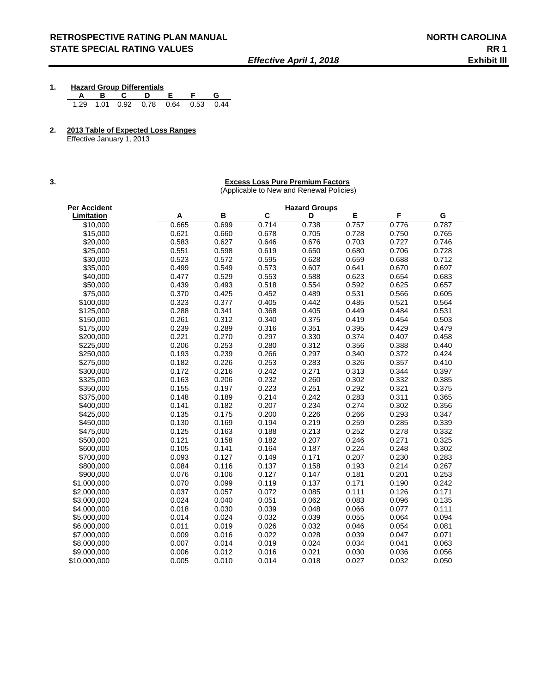**1. Hazard Group Differentials**

 **A B C D E F G**  1.29 1.01 0.92 0.78 0.64 0.53 0.44

**2. 2013 Table of Expected Loss Ranges**

Effective January 1, 2013

#### **3. Excess Loss Pure Premium Factors**

(Applicable to New and Renewal Policies)

| Per Accident      |       |       |       | <b>Hazard Groups</b> |       |       |       |
|-------------------|-------|-------|-------|----------------------|-------|-------|-------|
| <b>Limitation</b> | Α     | B     | C     | D                    | E     | F     | G     |
| \$10,000          | 0.665 | 0.699 | 0.714 | 0.738                | 0.757 | 0.776 | 0.787 |
| \$15,000          | 0.621 | 0.660 | 0.678 | 0.705                | 0.728 | 0.750 | 0.765 |
| \$20,000          | 0.583 | 0.627 | 0.646 | 0.676                | 0.703 | 0.727 | 0.746 |
| \$25,000          | 0.551 | 0.598 | 0.619 | 0.650                | 0.680 | 0.706 | 0.728 |
| \$30,000          | 0.523 | 0.572 | 0.595 | 0.628                | 0.659 | 0.688 | 0.712 |
| \$35,000          | 0.499 | 0.549 | 0.573 | 0.607                | 0.641 | 0.670 | 0.697 |
| \$40,000          | 0.477 | 0.529 | 0.553 | 0.588                | 0.623 | 0.654 | 0.683 |
| \$50,000          | 0.439 | 0.493 | 0.518 | 0.554                | 0.592 | 0.625 | 0.657 |
| \$75,000          | 0.370 | 0.425 | 0.452 | 0.489                | 0.531 | 0.566 | 0.605 |
| \$100,000         | 0.323 | 0.377 | 0.405 | 0.442                | 0.485 | 0.521 | 0.564 |
| \$125,000         | 0.288 | 0.341 | 0.368 | 0.405                | 0.449 | 0.484 | 0.531 |
| \$150,000         | 0.261 | 0.312 | 0.340 | 0.375                | 0.419 | 0.454 | 0.503 |
| \$175,000         | 0.239 | 0.289 | 0.316 | 0.351                | 0.395 | 0.429 | 0.479 |
| \$200,000         | 0.221 | 0.270 | 0.297 | 0.330                | 0.374 | 0.407 | 0.458 |
| \$225,000         | 0.206 | 0.253 | 0.280 | 0.312                | 0.356 | 0.388 | 0.440 |
| \$250,000         | 0.193 | 0.239 | 0.266 | 0.297                | 0.340 | 0.372 | 0.424 |
| \$275,000         | 0.182 | 0.226 | 0.253 | 0.283                | 0.326 | 0.357 | 0.410 |
| \$300,000         | 0.172 | 0.216 | 0.242 | 0.271                | 0.313 | 0.344 | 0.397 |
| \$325,000         | 0.163 | 0.206 | 0.232 | 0.260                | 0.302 | 0.332 | 0.385 |
| \$350,000         | 0.155 | 0.197 | 0.223 | 0.251                | 0.292 | 0.321 | 0.375 |
| \$375,000         | 0.148 | 0.189 | 0.214 | 0.242                | 0.283 | 0.311 | 0.365 |
| \$400,000         | 0.141 | 0.182 | 0.207 | 0.234                | 0.274 | 0.302 | 0.356 |
| \$425,000         | 0.135 | 0.175 | 0.200 | 0.226                | 0.266 | 0.293 | 0.347 |
| \$450,000         | 0.130 | 0.169 | 0.194 | 0.219                | 0.259 | 0.285 | 0.339 |
| \$475,000         | 0.125 | 0.163 | 0.188 | 0.213                | 0.252 | 0.278 | 0.332 |
| \$500,000         | 0.121 | 0.158 | 0.182 | 0.207                | 0.246 | 0.271 | 0.325 |
| \$600,000         | 0.105 | 0.141 | 0.164 | 0.187                | 0.224 | 0.248 | 0.302 |
| \$700.000         | 0.093 | 0.127 | 0.149 | 0.171                | 0.207 | 0.230 | 0.283 |
| \$800,000         | 0.084 | 0.116 | 0.137 | 0.158                | 0.193 | 0.214 | 0.267 |
| \$900,000         | 0.076 | 0.106 | 0.127 | 0.147                | 0.181 | 0.201 | 0.253 |
| \$1,000,000       | 0.070 | 0.099 | 0.119 | 0.137                | 0.171 | 0.190 | 0.242 |
| \$2,000,000       | 0.037 | 0.057 | 0.072 | 0.085                | 0.111 | 0.126 | 0.171 |
| \$3,000,000       | 0.024 | 0.040 | 0.051 | 0.062                | 0.083 | 0.096 | 0.135 |
| \$4,000,000       | 0.018 | 0.030 | 0.039 | 0.048                | 0.066 | 0.077 | 0.111 |
| \$5,000,000       | 0.014 | 0.024 | 0.032 | 0.039                | 0.055 | 0.064 | 0.094 |
| \$6,000,000       | 0.011 | 0.019 | 0.026 | 0.032                | 0.046 | 0.054 | 0.081 |
| \$7,000,000       | 0.009 | 0.016 | 0.022 | 0.028                | 0.039 | 0.047 | 0.071 |
| \$8,000,000       | 0.007 | 0.014 | 0.019 | 0.024                | 0.034 | 0.041 | 0.063 |
| \$9,000,000       | 0.006 | 0.012 | 0.016 | 0.021                | 0.030 | 0.036 | 0.056 |
| \$10,000,000      | 0.005 | 0.010 | 0.014 | 0.018                | 0.027 | 0.032 | 0.050 |